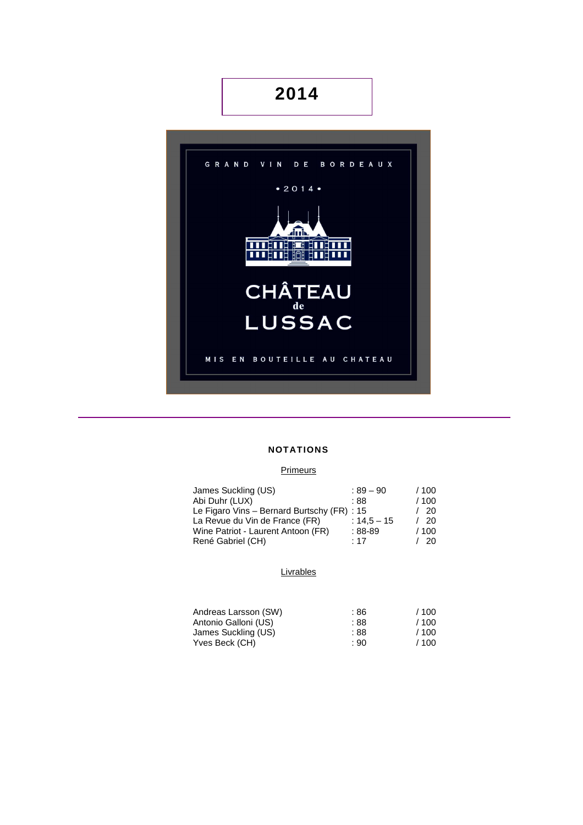# **2014**



## **NOTATIONS**

## **Primeurs**

| James Suckling (US)                         | $:89-90$      | /100 |
|---------------------------------------------|---------------|------|
| Abi Duhr (LUX)                              | : 88          | /100 |
| Le Figaro Vins - Bernard Burtschy (FR) : 15 |               | /20  |
| La Revue du Vin de France (FR)              | $: 14.5 - 15$ | - 20 |
| Wine Patriot - Laurent Antoon (FR)          | $:88-89$      | /100 |
| René Gabriel (CH)                           | :17           | -20. |

#### **Livrables**

| Andreas Larsson (SW) | :86  | /100 |
|----------------------|------|------|
| Antonio Galloni (US) | : 88 | /100 |
| James Suckling (US)  | : 88 | /100 |
| Yves Beck (CH)       | : 90 | /100 |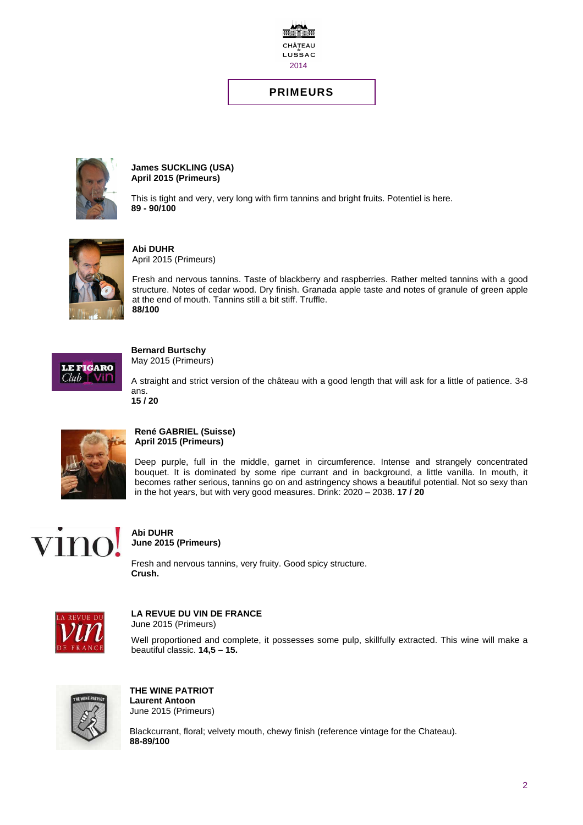

# **PRIMEURS**



**James SUCKLING (USA) April 2015 (Primeurs)** 

This is tight and very, very long with firm tannins and bright fruits. Potentiel is here. **89 - 90/100** 



**Abi DUHR**  April 2015 (Primeurs)

Fresh and nervous tannins. Taste of blackberry and raspberries. Rather melted tannins with a good structure. Notes of cedar wood. Dry finish. Granada apple taste and notes of granule of green apple at the end of mouth. Tannins still a bit stiff. Truffle. **88/100** 



**Bernard Burtschy** 

May 2015 (Primeurs)

A straight and strict version of the château with a good length that will ask for a little of patience. 3-8 ans. **15 / 20** 



#### **René GABRIEL (Suisse) April 2015 (Primeurs)**

Deep purple, full in the middle, garnet in circumference. Intense and strangely concentrated bouquet. It is dominated by some ripe currant and in background, a little vanilla. In mouth, it becomes rather serious, tannins go on and astringency shows a beautiful potential. Not so sexy than in the hot years, but with very good measures. Drink: 2020 – 2038. **17 / 20**



# **Abi DUHR June 2015 (Primeurs)**

Fresh and nervous tannins, very fruity. Good spicy structure. **Crush.** 



#### **LA REVUE DU VIN DE FRANCE**  June 2015 (Primeurs)

Well proportioned and complete, it possesses some pulp, skillfully extracted. This wine will make a beautiful classic. **14,5 – 15.** 



**THE WINE PATRIOT Laurent Antoon**  June 2015 (Primeurs)

Blackcurrant, floral; velvety mouth, chewy finish (reference vintage for the Chateau). **88-89/100**